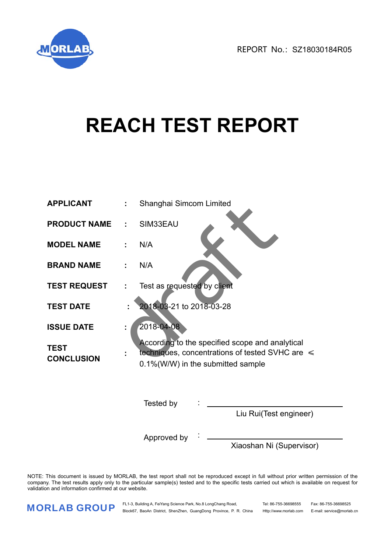

# **REACH TEST REPORT**

| <b>APPLICANT</b>                 | t. | Shanghai Simcom Limited                                                                                                                      |
|----------------------------------|----|----------------------------------------------------------------------------------------------------------------------------------------------|
| <b>PRODUCT NAME</b>              | ÷  | SIM33EAU                                                                                                                                     |
| <b>MODEL NAME</b>                | ÷  | N/A                                                                                                                                          |
| <b>BRAND NAME</b>                | ÷  | N/A                                                                                                                                          |
| <b>TEST REQUEST</b>              | ÷, | Test as requested by client                                                                                                                  |
| <b>TEST DATE</b>                 |    | 2018-03-21 to 2018-03-28                                                                                                                     |
| <b>ISSUE DATE</b>                | ÷  | 2018-04-08                                                                                                                                   |
| <b>TEST</b><br><b>CONCLUSION</b> | ÷  | According to the specified scope and analytical<br>techniques, concentrations of tested SVHC are $\leq$<br>0.1%(W/W) in the submitted sample |
|                                  |    | Tested by                                                                                                                                    |
|                                  |    | Liu Rui(Test engineer)                                                                                                                       |
|                                  |    | Approved by                                                                                                                                  |

Xiaoshan Ni (Supervisor)

NOTE: This document is issued by MORLAB, the test report shall not be reproduced except in full without prior written permission of the company. The test results apply only to the particular sample(s) tested and to the specific tests carried out which is available on request for validation and information confirmed at our website.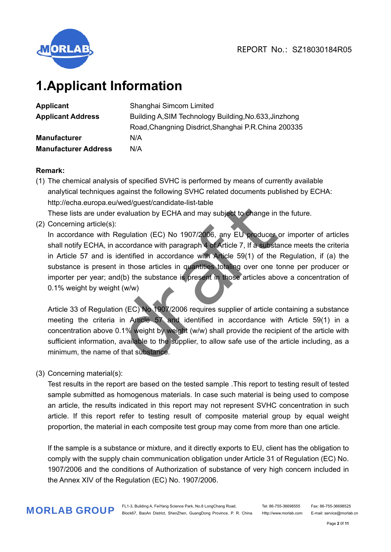

## **1.Applicant Information**

| <b>Applicant</b>            | Shanghai Simcom Limited                               |
|-----------------------------|-------------------------------------------------------|
| <b>Applicant Address</b>    | Building A, SIM Technology Building, No.633, Jinzhong |
|                             | Road, Changning Disdrict, Shanghai P.R. China 200335  |
| <b>Manufacturer</b>         | N/A                                                   |
| <b>Manufacturer Address</b> | N/A                                                   |

## **Remark:**

(1) The chemical analysis of specified SVHC is performed by means of currently available analytical techniques against the following SVHC related documents published by ECHA: http://echa.europa.eu/wed/guest/candidate-list-table

These lists are under evaluation by ECHA and may subject to change in the future.

(2) Concerning article(s):

In accordance with Regulation (EC) No 1907/2006, any EU producer or importer of articles shall notify ECHA, in accordance with paragraph 4 of Article 7, If a substance meets the criteria in Article 57 and is identified in accordance with Article 59(1) of the Regulation, if (a) the substance is present in those articles in quantities totaling over one tonne per producer or importer per year; and(b) the substance is present in those articles above a concentration of 0.1% weight by weight (w/w) u/wed/guest/candidate-list-table<br>r evaluation by ECHA and may subject to change in the<br>intervaluation (EC) No 1907/2006, any EU producer of<br>accordance with paragraph 4 of Article 7, if a substant<br>identified in accordance w

Article 33 of Regulation (EC) No 1907/2006 requires supplier of article containing a substance meeting the criteria in Article 57 and identified in accordance with Article 59(1) in a concentration above 0.1% weight by weight (w/w) shall provide the recipient of the article with sufficient information, available to the supplier, to allow safe use of the article including, as a minimum, the name of that substance.

(3) Concerning material(s):

Test results in the report are based on the tested sample .This report to testing result of tested sample submitted as homogenous materials. In case such material is being used to compose an article, the results indicated in this report may not represent SVHC concentration in such article. If this report refer to testing result of composite material group by equal weight proportion, the material in each composite test group may come from more than one article.

If the sample is a substance or mixture, and it directly exports to EU, client has the obligation to comply with the supply chain communication obligation under Article 31 of Regulation (EC) No. 1907/2006 and the conditions of Authorization of substance of very high concern included in the Annex XIV of the Regulation (EC) No. 1907/2006.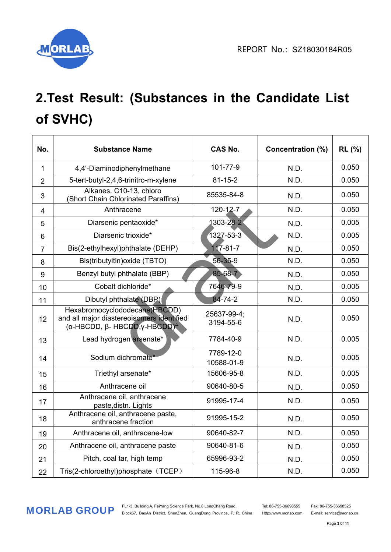

# **2.Test Result: (Substances in the Candidate List of SVHC)**

| No.            | <b>Substance Name</b>                                                                                                                         | <b>CAS No.</b>           | <b>Concentration (%)</b> | <b>RL</b> (%) |
|----------------|-----------------------------------------------------------------------------------------------------------------------------------------------|--------------------------|--------------------------|---------------|
| $\mathbf{1}$   | 4,4'-Diaminodiphenylmethane                                                                                                                   | 101-77-9                 | N.D.                     | 0.050         |
| $\overline{2}$ | 5-tert-butyl-2,4,6-trinitro-m-xylene                                                                                                          | $81 - 15 - 2$            | N.D.                     | 0.050         |
| 3              | Alkanes, C10-13, chloro<br>(Short Chain Chlorinated Paraffins)                                                                                | 85535-84-8               | N.D.                     | 0.050         |
| $\overline{4}$ | Anthracene                                                                                                                                    | 120-12-7                 | N.D.                     | 0.050         |
| 5              | Diarsenic pentaoxide*                                                                                                                         | 1303-28-2                | N.D.                     | 0.005         |
| 6              | Diarsenic trioxide*                                                                                                                           | 1327-53-3                | N.D.                     | 0.005         |
| $\overline{7}$ | Bis(2-ethylhexyl)phthalate (DEHP)                                                                                                             | $117 - 81 - 7$           | N.D.                     | 0.050         |
| 8              | Bis(tributyltin) oxide (TBTO)                                                                                                                 | 56-35-9                  | N.D.                     | 0.050         |
| 9              | Benzyl butyl phthalate (BBP)                                                                                                                  | 85-68-7                  | N.D.                     | 0.050         |
| 10             | Cobalt dichloride*                                                                                                                            | 7646-79-9                | N.D.                     | 0.005         |
| 11             | Dibutyl phthalate (DBP)                                                                                                                       | 84-74-2                  | N.D.                     | 0.050         |
| 12             | Hexabromocyclododecane(HBCDD)<br>and all major diastereoisomers identified<br>$(α$ -HBCDD, $β$ - HBCDD, $γ$ -HBCDD) <sup><math>α</math></sup> | 25637-99-4;<br>3194-55-6 | N.D.                     | 0.050         |
| 13             | Lead hydrogen arsenate*                                                                                                                       | 7784-40-9                | N.D.                     | 0.005         |
| 14             | Sodium dichromate*                                                                                                                            | 7789-12-0<br>10588-01-9  | N.D.                     | 0.005         |
| 15             | Triethyl arsenate*                                                                                                                            | 15606-95-8               | N.D.                     | 0.005         |
| 16             | Anthracene oil                                                                                                                                | 90640-80-5               | N.D.                     | 0.050         |
| 17             | Anthracene oil, anthracene<br>paste, distn. Lights                                                                                            | 91995-17-4               | N.D.                     | 0.050         |
| 18             | Anthracene oil, anthracene paste,<br>anthracene fraction                                                                                      | 91995-15-2               | N.D.                     | 0.050         |
| 19             | Anthracene oil, anthracene-low                                                                                                                | 90640-82-7               | N.D.                     | 0.050         |
| 20             | Anthracene oil, anthracene paste                                                                                                              | 90640-81-6               | N.D.                     | 0.050         |
| 21             | Pitch, coal tar, high temp                                                                                                                    | 65996-93-2               | N.D.                     | 0.050         |
| 22             | Tris(2-chloroethyl)phosphate (TCEP)                                                                                                           | 115-96-8                 | N.D.                     | 0.050         |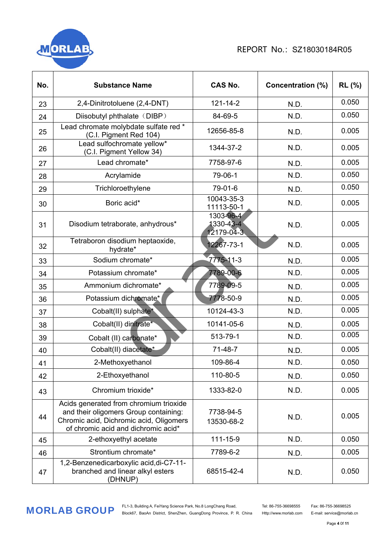

| No. | <b>Substance Name</b>                                                                                                                                             | <b>CAS No.</b>                       | <b>Concentration (%)</b> | <b>RL</b> (%) |
|-----|-------------------------------------------------------------------------------------------------------------------------------------------------------------------|--------------------------------------|--------------------------|---------------|
| 23  | 2,4-Dinitrotoluene (2,4-DNT)                                                                                                                                      | $121 - 14 - 2$                       | N.D.                     | 0.050         |
| 24  | Diisobutyl phthalate (DIBP)                                                                                                                                       | 84-69-5                              | N.D.                     | 0.050         |
| 25  | Lead chromate molybdate sulfate red *<br>(C.I. Pigment Red 104)                                                                                                   | 12656-85-8                           | N.D.                     | 0.005         |
| 26  | Lead sulfochromate yellow*<br>(C.I. Pigment Yellow 34)                                                                                                            | 1344-37-2                            | N.D.                     | 0.005         |
| 27  | Lead chromate*                                                                                                                                                    | 7758-97-6                            | N.D.                     | 0.005         |
| 28  | Acrylamide                                                                                                                                                        | 79-06-1                              | N.D.                     | 0.050         |
| 29  | Trichloroethylene                                                                                                                                                 | 79-01-6                              | N.D.                     | 0.050         |
| 30  | Boric acid*                                                                                                                                                       | 10043-35-3<br>11113-50-1             | N.D.                     | 0.005         |
| 31  | Disodium tetraborate, anhydrous*                                                                                                                                  | 1303-96-4<br>1330-43-4<br>12179-04-3 | N.D.                     | 0.005         |
| 32  | Tetraboron disodium heptaoxide,<br>hydrate*                                                                                                                       | 2267-73-1                            | N.D.                     | 0.005         |
| 33  | Sodium chromate*                                                                                                                                                  | 7775-11-3                            | N.D.                     | 0.005         |
| 34  | Potassium chromate*                                                                                                                                               | 7789-00-6                            | N.D.                     | 0.005         |
| 35  | Ammonium dichromate*                                                                                                                                              | 7789-09-5                            | N.D.                     | 0.005         |
| 36  | Potassium dichromate*                                                                                                                                             | 7778-50-9                            | N.D.                     | 0.005         |
| 37  | Cobalt(II) sulphate*                                                                                                                                              | 10124-43-3                           | N.D.                     | 0.005         |
| 38  | Cobalt(II) dinitrate*                                                                                                                                             | 10141-05-6                           | N.D.                     | 0.005         |
| 39  | Cobalt (II) carbonate*                                                                                                                                            | 513-79-1                             | N.D.                     | 0.005         |
| 40  | Cobalt(II) diacetate*                                                                                                                                             | $71-48-7$                            | N.D.                     | 0.005         |
| 41  | 2-Methoxyethanol                                                                                                                                                  | 109-86-4                             | N.D.                     | 0.050         |
| 42  | 2-Ethoxyethanol                                                                                                                                                   | 110-80-5                             | N.D.                     | 0.050         |
| 43  | Chromium trioxide*                                                                                                                                                | 1333-82-0                            | N.D.                     | 0.005         |
| 44  | Acids generated from chromium trioxide<br>and their oligomers Group containing:<br>Chromic acid, Dichromic acid, Oligomers<br>of chromic acid and dichromic acid* | 7738-94-5<br>13530-68-2              | N.D.                     | 0.005         |
| 45  | 2-ethoxyethyl acetate                                                                                                                                             | 111-15-9                             | N.D.                     | 0.050         |
| 46  | Strontium chromate*                                                                                                                                               | 7789-6-2                             | N.D.                     | 0.005         |
| 47  | 1,2-Benzenedicarboxylic acid, di-C7-11-<br>branched and linear alkyl esters<br>(DHNUP)                                                                            | 68515-42-4                           | N.D.                     | 0.050         |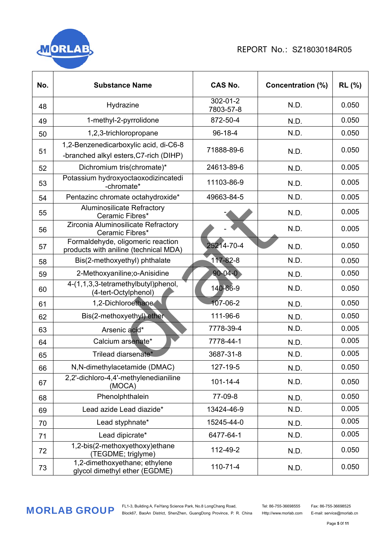

| No. | <b>Substance Name</b>                                                           | <b>CAS No.</b>        | <b>Concentration (%)</b> | <b>RL</b> (%) |
|-----|---------------------------------------------------------------------------------|-----------------------|--------------------------|---------------|
| 48  | Hydrazine                                                                       | 302-01-2<br>7803-57-8 | N.D.                     | 0.050         |
| 49  | 1-methyl-2-pyrrolidone                                                          | 872-50-4              | N.D.                     | 0.050         |
| 50  | 1,2,3-trichloropropane                                                          | 96-18-4               | N.D.                     | 0.050         |
| 51  | 1,2-Benzenedicarboxylic acid, di-C6-8<br>-branched alkyl esters, C7-rich (DIHP) | 71888-89-6            | N.D.                     | 0.050         |
| 52  | Dichromium tris(chromate)*                                                      | 24613-89-6            | N.D.                     | 0.005         |
| 53  | Potassium hydroxyoctaoxodizincatedi<br>-chromate*                               | 11103-86-9            | N.D.                     | 0.005         |
| 54  | Pentazinc chromate octahydroxide*                                               | 49663-84-5            | N.D.                     | 0.005         |
| 55  | <b>Aluminosilicate Refractory</b><br>Ceramic Fibres*                            |                       | N.D.                     | 0.005         |
| 56  | Zirconia Aluminosilicate Refractory<br>Ceramic Fibres*                          |                       | N.D.                     | 0.005         |
| 57  | Formaldehyde, oligomeric reaction<br>products with aniline (technical MDA)      | 25214-70-4            | N.D.                     | 0.050         |
| 58  | Bis(2-methoxyethyl) phthalate                                                   | $117 - 82 - 8$        | N.D.                     | 0.050         |
| 59  | 2-Methoxyaniline; o-Anisidine                                                   | $90 - 04 - 0$         | N.D.                     | 0.050         |
| 60  | 4-(1,1,3,3-tetramethylbutyl)phenol,<br>(4-tert-Octylphenol)                     | 140-66-9              | N.D.                     | 0.050         |
| 61  | 1,2-Dichloroethane                                                              | 107-06-2              | N.D.                     | 0.050         |
| 62  | Bis(2-methoxyethyl) ether                                                       | 111-96-6              | N.D.                     | 0.050         |
| 63  | Arsenic acid*                                                                   | 7778-39-4             | N.D.                     | 0.005         |
| 64  | Calcium arsenate*                                                               | 7778-44-1             | N.D.                     | 0.005         |
| 65  | Trilead diarsenate*                                                             | 3687-31-8             | N.D.                     | 0.005         |
| 66  | N,N-dimethylacetamide (DMAC)                                                    | 127-19-5              | N.D.                     | 0.050         |
| 67  | 2,2'-dichloro-4,4'-methylenedianiline<br>(MOCA)                                 | $101 - 14 - 4$        | N.D.                     | 0.050         |
| 68  | Phenolphthalein                                                                 | 77-09-8               | N.D.                     | 0.050         |
| 69  | Lead azide Lead diazide*                                                        | 13424-46-9            | N.D.                     | 0.005         |
| 70  | Lead styphnate*                                                                 | 15245-44-0            | N.D.                     | 0.005         |
| 71  | Lead dipicrate*                                                                 | 6477-64-1             | N.D.                     | 0.005         |
| 72  | 1,2-bis(2-methoxyethoxy)ethane<br>(TEGDME; triglyme)                            | 112-49-2              | N.D.                     | 0.050         |
| 73  | 1,2-dimethoxyethane; ethylene<br>glycol dimethyl ether (EGDME)                  | $110 - 71 - 4$        | N.D.                     | 0.050         |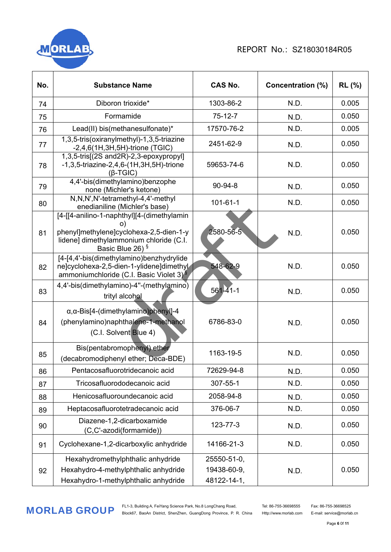

| No. | <b>Substance Name</b>                                                                                                                                                  | <b>CAS No.</b>                            | <b>Concentration (%)</b> | <b>RL</b> (%) |
|-----|------------------------------------------------------------------------------------------------------------------------------------------------------------------------|-------------------------------------------|--------------------------|---------------|
| 74  | Diboron trioxide*                                                                                                                                                      | 1303-86-2                                 | N.D.                     | 0.005         |
| 75  | Formamide                                                                                                                                                              | $75 - 12 - 7$                             | N.D.                     | 0.050         |
| 76  | Lead(II) bis(methanesulfonate)*                                                                                                                                        | 17570-76-2                                | N.D.                     | 0.005         |
| 77  | 1,3,5-tris(oxiranylmethyl)-1,3,5-triazine<br>$-2,4,6(1H,3H,5H)$ -trione (TGIC)                                                                                         | 2451-62-9                                 | N.D.                     | 0.050         |
| 78  | 1,3,5-tris[(2S and2R)-2,3-epoxypropyl]<br>$-1,3,5$ -triazine-2,4,6-(1H,3H,5H)-trione<br>$(\beta$ -TGIC)                                                                | 59653-74-6                                | N.D.                     | 0.050         |
| 79  | 4,4'-bis(dimethylamino)benzophe<br>none (Michler's ketone)                                                                                                             | 90-94-8                                   | N.D.                     | 0.050         |
| 80  | N,N,N',N'-tetramethyl-4,4'-methyl<br>enedianiline (Michler's base)                                                                                                     | $101 - 61 - 1$                            | N.D.                     | 0.050         |
| 81  | [4-[[4-anilino-1-naphthyl][4-(dimethylamin<br>ו ס<br>phenyl]methylene]cyclohexa-2,5-dien-1-y<br>lidene] dimethylammonium chloride (C.I.<br>Basic Blue 26) <sup>§</sup> | 2580-56-5                                 | N.D.                     | 0.050         |
| 82  | [4-[4,4'-bis(dimethylamino)benzhydrylide<br>ne]cyclohexa-2,5-dien-1-ylidene]dimethyl<br>ammoniumchloride (C.I. Basic Violet 3) $\frac{8}{3}$                           | 548-62-9                                  | N.D.                     | 0.050         |
| 83  | 4,4'-bis(dimethylamino)-4"-(methylamino)<br>trityl alcohol                                                                                                             | $561 - 41 - 1$                            | N.D.                     | 0.050         |
| 84  | α, α-Bis[4-(dimethylamino) phenyl]-4<br>(phenylamino)naphthalene-1-methanol<br>(C.I. Solvent Blue 4)                                                                   | 6786-83-0                                 | N.D.                     | 0.050         |
| 85  | Bis(pentabromophenyl) ether<br>(decabromodiphenyl ether; Deca-BDE)                                                                                                     | 1163-19-5                                 | N.D.                     | 0.050         |
| 86  | Pentacosafluorotridecanoic acid                                                                                                                                        | 72629-94-8                                | N.D.                     | 0.050         |
| 87  | Tricosafluorododecanoic acid                                                                                                                                           | 307-55-1                                  | N.D.                     | 0.050         |
| 88  | Henicosafluoroundecanoic acid                                                                                                                                          | 2058-94-8                                 | N.D.                     | 0.050         |
| 89  | Heptacosafluorotetradecanoic acid                                                                                                                                      | 376-06-7                                  | N.D.                     | 0.050         |
| 90  | Diazene-1,2-dicarboxamide<br>(C,C'-azodi(formamide))                                                                                                                   | 123-77-3                                  | N.D.                     | 0.050         |
| 91  | Cyclohexane-1,2-dicarboxylic anhydride                                                                                                                                 | 14166-21-3                                | N.D.                     | 0.050         |
| 92  | Hexahydromethylphthalic anhydride<br>Hexahydro-4-methylphthalic anhydride<br>Hexahydro-1-methylphthalic anhydride                                                      | 25550-51-0,<br>19438-60-9,<br>48122-14-1, | N.D.                     | 0.050         |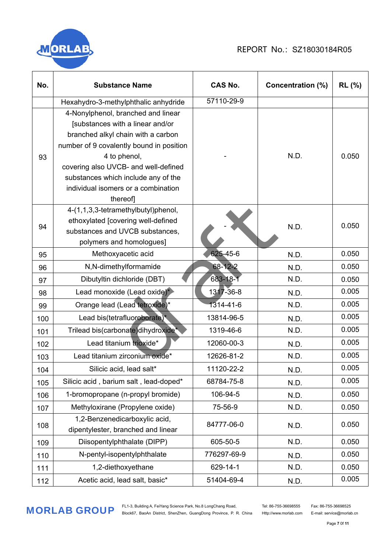

| No. | <b>Substance Name</b>                                                                                                                                                                                                                                                                                     | <b>CAS No.</b> | <b>Concentration (%)</b> | <b>RL</b> (%) |
|-----|-----------------------------------------------------------------------------------------------------------------------------------------------------------------------------------------------------------------------------------------------------------------------------------------------------------|----------------|--------------------------|---------------|
|     | Hexahydro-3-methylphthalic anhydride                                                                                                                                                                                                                                                                      | 57110-29-9     |                          |               |
| 93  | 4-Nonylphenol, branched and linear<br>[substances with a linear and/or<br>branched alkyl chain with a carbon<br>number of 9 covalently bound in position<br>4 to phenol,<br>covering also UVCB- and well-defined<br>substances which include any of the<br>individual isomers or a combination<br>thereof |                | N.D.                     | 0.050         |
| 94  | 4-(1,1,3,3-tetramethylbutyl)phenol,<br>ethoxylated [covering well-defined<br>substances and UVCB substances,<br>polymers and homologues]                                                                                                                                                                  |                | N.D.                     | 0.050         |
| 95  | Methoxyacetic acid                                                                                                                                                                                                                                                                                        | 625-45-6       | N.D.                     | 0.050         |
| 96  | N,N-dimethylformamide                                                                                                                                                                                                                                                                                     | 68-12-2        | N.D.                     | 0.050         |
| 97  | Dibutyltin dichloride (DBT)                                                                                                                                                                                                                                                                               | 683-18-1       | N.D.                     | 0.050         |
| 98  | Lead monoxide (Lead oxide)*                                                                                                                                                                                                                                                                               | 1317-36-8      | N.D.                     | 0.005         |
| 99  | Orange lead (Lead tetroxide)*                                                                                                                                                                                                                                                                             | 1314-41-6      | N.D.                     | 0.005         |
| 100 | Lead bis(tetrafluoroborate)*                                                                                                                                                                                                                                                                              | 13814-96-5     | N.D.                     | 0.005         |
| 101 | Trilead bis(carbonate)dihydroxide <sup>*</sup>                                                                                                                                                                                                                                                            | 1319-46-6      | N.D.                     | 0.005         |
| 102 | Lead titanium trioxide*                                                                                                                                                                                                                                                                                   | 12060-00-3     | N.D.                     | 0.005         |
| 103 | Lead titanium zirconium oxide*                                                                                                                                                                                                                                                                            | 12626-81-2     | N.D.                     | 0.005         |
| 104 | Silicic acid, lead salt*                                                                                                                                                                                                                                                                                  | 11120-22-2     | N.D.                     | 0.005         |
| 105 | Silicic acid, barium salt, lead-doped*                                                                                                                                                                                                                                                                    | 68784-75-8     | N.D.                     | 0.005         |
| 106 | 1-bromopropane (n-propyl bromide)                                                                                                                                                                                                                                                                         | 106-94-5       | N.D.                     | 0.050         |
| 107 | Methyloxirane (Propylene oxide)                                                                                                                                                                                                                                                                           | 75-56-9        | N.D.                     | 0.050         |
| 108 | 1,2-Benzenedicarboxylic acid,<br>dipentylester, branched and linear                                                                                                                                                                                                                                       | 84777-06-0     | N.D.                     | 0.050         |
| 109 | Diisopentylphthalate (DIPP)                                                                                                                                                                                                                                                                               | 605-50-5       | N.D.                     | 0.050         |
| 110 | N-pentyl-isopentylphthalate                                                                                                                                                                                                                                                                               | 776297-69-9    | N.D.                     | 0.050         |
| 111 | 1,2-diethoxyethane                                                                                                                                                                                                                                                                                        | 629-14-1       | N.D.                     | 0.050         |
| 112 | Acetic acid, lead salt, basic*                                                                                                                                                                                                                                                                            | 51404-69-4     | N.D.                     | 0.005         |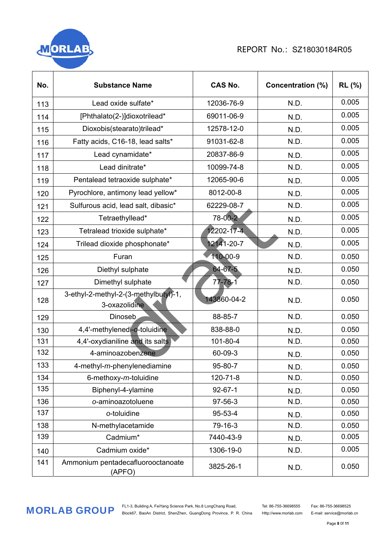

| No. | <b>Substance Name</b>                                  | <b>CAS No.</b> | <b>Concentration (%)</b> | <b>RL</b> (%) |
|-----|--------------------------------------------------------|----------------|--------------------------|---------------|
| 113 | Lead oxide sulfate*                                    | 12036-76-9     | N.D.                     | 0.005         |
| 114 | [Phthalato(2-)]dioxotrilead*                           | 69011-06-9     | N.D.                     | 0.005         |
| 115 | Dioxobis(stearato)trilead*                             | 12578-12-0     | N.D.                     | 0.005         |
| 116 | Fatty acids, C16-18, lead salts*                       | 91031-62-8     | N.D.                     | 0.005         |
| 117 | Lead cynamidate*                                       | 20837-86-9     | N.D.                     | 0.005         |
| 118 | Lead dinitrate*                                        | 10099-74-8     | N.D.                     | 0.005         |
| 119 | Pentalead tetraoxide sulphate*                         | 12065-90-6     | N.D.                     | 0.005         |
| 120 | Pyrochlore, antimony lead yellow*                      | 8012-00-8      | N.D.                     | 0.005         |
| 121 | Sulfurous acid, lead salt, dibasic*                    | 62229-08-7     | N.D.                     | 0.005         |
| 122 | Tetraethyllead*                                        | 78-00-2        | N.D.                     | 0.005         |
| 123 | Tetralead trioxide sulphate*                           | 2202-17-4      | N.D.                     | 0.005         |
| 124 | Trilead dioxide phosphonate*                           | 12141-20-7     | N.D.                     | 0.005         |
| 125 | Furan                                                  | 110-00-9       | N.D.                     | 0.050         |
| 126 | Diethyl sulphate                                       | 64-67-5        | N.D.                     | 0.050         |
| 127 | Dimethyl sulphate                                      | 77-78-1        | N.D.                     | 0.050         |
| 128 | 3-ethyl-2-methyl-2-(3-methylbutyl)-1,<br>3-oxazolidine | 143860-04-2    | N.D.                     | 0.050         |
| 129 | Dinoseb                                                | 88-85-7        | N.D.                     | 0.050         |
| 130 | 4,4'-methylenedi-o-toluidine                           | 838-88-0       | N.D.                     | 0.050         |
| 131 | 4,4'-oxydianiline and its salts                        | 101-80-4       | N.D.                     | 0.050         |
| 132 | 4-aminoazobenzene                                      | 60-09-3        | N.D.                     | 0.050         |
| 133 | 4-methyl-m-phenylenediamine                            | 95-80-7        | N.D.                     | 0.050         |
| 134 | 6-methoxy-m-toluidine                                  | 120-71-8       | N.D.                     | 0.050         |
| 135 | Biphenyl-4-ylamine                                     | $92 - 67 - 1$  | N.D.                     | 0.050         |
| 136 | o-aminoazotoluene                                      | 97-56-3        | N.D.                     | 0.050         |
| 137 | o-toluidine                                            | 95-53-4        | N.D.                     | 0.050         |
| 138 | N-methylacetamide                                      | 79-16-3        | N.D.                     | 0.050         |
| 139 | Cadmium*                                               | 7440-43-9      | N.D.                     | 0.005         |
| 140 | Cadmium oxide*                                         | 1306-19-0      | N.D.                     | 0.005         |
| 141 | Ammonium pentadecafluorooctanoate<br>(APFO)            | 3825-26-1      | N.D.                     | 0.050         |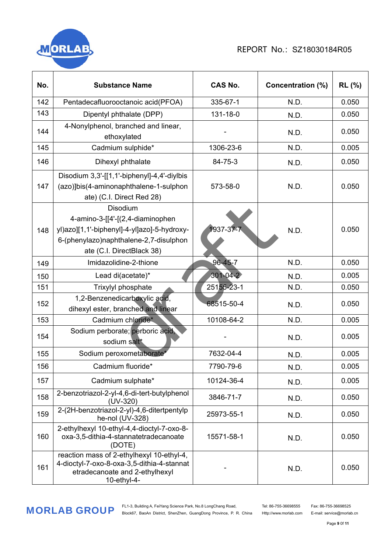# **MORI**

## REPORT No.: SZ18030184R05

| No. | <b>Substance Name</b>                                                                                                                                              | <b>CAS No.</b> | <b>Concentration (%)</b> | <b>RL (%)</b> |
|-----|--------------------------------------------------------------------------------------------------------------------------------------------------------------------|----------------|--------------------------|---------------|
| 142 | Pentadecafluorooctanoic acid(PFOA)                                                                                                                                 | 335-67-1       | N.D.                     | 0.050         |
| 143 | Dipentyl phthalate (DPP)                                                                                                                                           | 131-18-0       | N.D.                     | 0.050         |
| 144 | 4-Nonylphenol, branched and linear,<br>ethoxylated                                                                                                                 |                | N.D.                     | 0.050         |
| 145 | Cadmium sulphide*                                                                                                                                                  | 1306-23-6      | N.D.                     | 0.005         |
| 146 | Dihexyl phthalate                                                                                                                                                  | 84-75-3        | N.D.                     | 0.050         |
| 147 | Disodium 3,3'-[[1,1'-biphenyl]-4,4'-diylbis<br>(azo)]bis(4-aminonaphthalene-1-sulphon<br>ate) (C.I. Direct Red 28)                                                 | 573-58-0       | N.D.                     | 0.050         |
| 148 | Disodium<br>4-amino-3-[[4'-[(2,4-diaminophen<br>yl)azo][1,1'-biphenyl]-4-yl]azo]-5-hydroxy-<br>6-(phenylazo)naphthalene-2,7-disulphon<br>ate (C.I. DirectBlack 38) | 1937-37-       | N.D.                     | 0.050         |
| 149 | Imidazolidine-2-thione                                                                                                                                             | 96-45-7        | N.D.                     | 0.050         |
| 150 | Lead di(acetate)*                                                                                                                                                  | 301-04-2       | N.D.                     | 0.005         |
| 151 | Trixylyl phosphate                                                                                                                                                 | 25155-23-1     | N.D.                     | 0.050         |
| 152 | 1,2-Benzenedicarboxylic acid,<br>dihexyl ester, branched and linear                                                                                                | 68515-50-4     | N.D.                     | 0.050         |
| 153 | Cadmium chloride*                                                                                                                                                  | 10108-64-2     | N.D.                     | 0.005         |
| 154 | Sodium perborate; perboric acid,<br>sodium salt*                                                                                                                   |                | N.D.                     | 0.005         |
| 155 | Sodium peroxometaborate                                                                                                                                            | 7632-04-4      | N.D.                     | 0.005         |
| 156 | Cadmium fluoride*                                                                                                                                                  | 7790-79-6      | N.D.                     | 0.005         |
| 157 | Cadmium sulphate*                                                                                                                                                  | 10124-36-4     | N.D.                     | 0.005         |
| 158 | 2-benzotriazol-2-yl-4,6-di-tert-butylphenol<br>$(UV-320)$                                                                                                          | 3846-71-7      | N.D.                     | 0.050         |
| 159 | 2-(2H-benzotriazol-2-yl)-4,6-ditertpentylp<br>he-nol (UV-328)                                                                                                      | 25973-55-1     | N.D.                     | 0.050         |
| 160 | 2-ethylhexyl 10-ethyl-4,4-dioctyl-7-oxo-8-<br>oxa-3,5-dithia-4-stannatetradecanoate<br>(DOTE)                                                                      | 15571-58-1     | N.D.                     | 0.050         |
| 161 | reaction mass of 2-ethylhexyl 10-ethyl-4,<br>4-dioctyl-7-oxo-8-oxa-3,5-dithia-4-stannat<br>etradecanoate and 2-ethylhexyl<br>10-ethyl-4-                           |                | N.D.                     | 0.050         |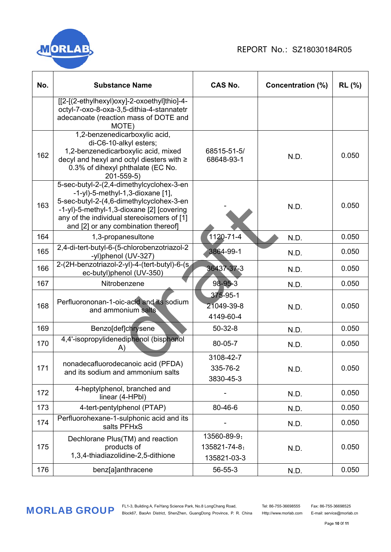

| No. | <b>Substance Name</b>                                                                                                                                                                                                                                         | <b>CAS No.</b>                             | Concentration (%) | <b>RL</b> (%) |
|-----|---------------------------------------------------------------------------------------------------------------------------------------------------------------------------------------------------------------------------------------------------------------|--------------------------------------------|-------------------|---------------|
|     | [[2-[(2-ethylhexyl)oxy]-2-oxoethyl]thio]-4-<br>octyl-7-oxo-8-oxa-3,5-dithia-4-stannatetr<br>adecanoate (reaction mass of DOTE and<br>MOTE)                                                                                                                    |                                            |                   |               |
| 162 | 1,2-benzenedicarboxylic acid,<br>di-C6-10-alkyl esters;<br>1,2-benzenedicarboxylic acid, mixed<br>decyl and hexyl and octyl diesters with ≥<br>0.3% of dihexyl phthalate (EC No.<br>201-559-5)                                                                | 68515-51-5/<br>68648-93-1                  | N.D.              | 0.050         |
| 163 | 5-sec-butyl-2-(2,4-dimethylcyclohex-3-en<br>$-1$ -yl)-5-methyl-1,3-dioxane [1],<br>5-sec-butyl-2-(4,6-dimethylcyclohex-3-en<br>-1-yl)-5-methyl-1,3-dioxane [2] [covering<br>any of the individual stereoisomers of [1]<br>and [2] or any combination thereof] |                                            | N.D.              | 0.050         |
| 164 | 1,3-propanesultone                                                                                                                                                                                                                                            | 1120-71-4                                  | N.D.              | 0.050         |
| 165 | 2,4-di-tert-butyl-6-(5-chlorobenzotriazol-2<br>-yl)phenol (UV-327)                                                                                                                                                                                            | 3864-99-1                                  | N.D.              | 0.050         |
| 166 | 2-(2H-benzotriazol-2-yl)-4-(tert-butyl)-6-(s<br>ec-butyl)phenol (UV-350)                                                                                                                                                                                      | 36437-37-3                                 | N.D.              | 0.050         |
| 167 | Nitrobenzene                                                                                                                                                                                                                                                  | 98-95-3                                    | N.D.              | 0.050         |
| 168 | Perfluorononan-1-oic-acid and its sodium<br>and ammonium salts                                                                                                                                                                                                | $375 - 95 - 1$<br>21049-39-8<br>4149-60-4  | N.D.              | 0.050         |
| 169 | Benzo[def]chrysene                                                                                                                                                                                                                                            | 50-32-8                                    | N.D.              | 0.050         |
| 170 | 4,4'-isopropylidenediphenol (bisphenol<br>A)                                                                                                                                                                                                                  | 80-05-7                                    | N.D.              | 0.050         |
| 171 | nonadecafluorodecanoic acid (PFDA)<br>and its sodium and ammonium salts                                                                                                                                                                                       | 3108-42-7<br>335-76-2<br>3830-45-3         | N.D.              | 0.050         |
| 172 | 4-heptylphenol, branched and<br>linear (4-HPbl)                                                                                                                                                                                                               |                                            | N.D.              | 0.050         |
| 173 | 4-tert-pentylphenol (PTAP)                                                                                                                                                                                                                                    | 80-46-6                                    | N.D.              | 0.050         |
| 174 | Perfluorohexane-1-sulphonic acid and its<br>salts PFHxS                                                                                                                                                                                                       |                                            | N.D.              | 0.050         |
| 175 | Dechlorane Plus(TM) and reaction<br>products of<br>1,3,4-thiadiazolidine-2,5-dithione                                                                                                                                                                         | 13560-89-9;<br>135821-74-8;<br>135821-03-3 | N.D.              | 0.050         |
| 176 | benz[a]anthracene                                                                                                                                                                                                                                             | 56-55-3                                    | N.D.              | 0.050         |